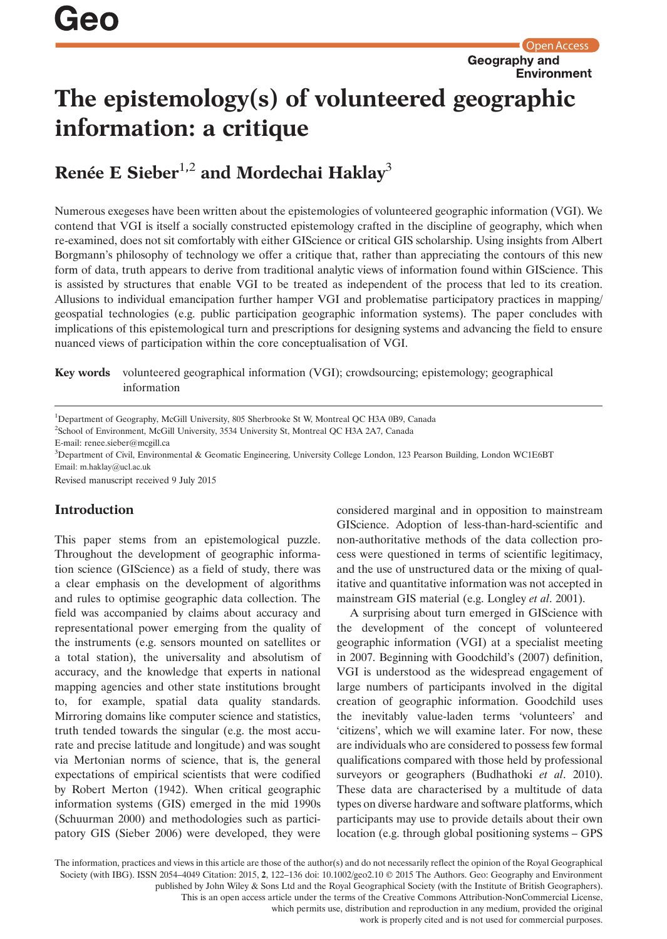**Copen Access**<br>**Geography and** Environment

# The epistemology(s) of volunteered geographic information: a critique

# Renée E Sieber<sup>1,2</sup> and Mordechai Haklay<sup>3</sup>

Numerous exegeses have been written about the epistemologies of volunteered geographic information (VGI). We contend that VGI is itself a socially constructed epistemology crafted in the discipline of geography, which when re-examined, does not sit comfortably with either GIScience or critical GIS scholarship. Using insights from Albert Borgmann's philosophy of technology we offer a critique that, rather than appreciating the contours of this new form of data, truth appears to derive from traditional analytic views of information found within GIScience. This is assisted by structures that enable VGI to be treated as independent of the process that led to its creation. Allusions to individual emancipation further hamper VGI and problematise participatory practices in mapping/ geospatial technologies (e.g. public participation geographic information systems). The paper concludes with implications of this epistemological turn and prescriptions for designing systems and advancing the field to ensure nuanced views of participation within the core conceptualisation of VGI.

Key words volunteered geographical information (VGI); crowdsourcing; epistemology; geographical information

<sup>2</sup>School of Environment, McGill University, 3534 University St, Montreal QC H3A 2A7, Canada

E-mail: renee.sieber@mcgill.ca

3 Department of Civil, Environmental & Geomatic Engineering, University College London, 123 Pearson Building, London WC1E6BT Email: m.haklay@ucl.ac.uk

Revised manuscript received 9 July 2015

# Introduction

This paper stems from an epistemological puzzle. Throughout the development of geographic information science (GIScience) as a field of study, there was a clear emphasis on the development of algorithms and rules to optimise geographic data collection. The field was accompanied by claims about accuracy and representational power emerging from the quality of the instruments (e.g. sensors mounted on satellites or a total station), the universality and absolutism of accuracy, and the knowledge that experts in national mapping agencies and other state institutions brought to, for example, spatial data quality standards. Mirroring domains like computer science and statistics, truth tended towards the singular (e.g. the most accurate and precise latitude and longitude) and was sought via Mertonian norms of science, that is, the general expectations of empirical scientists that were codified by Robert Merton (1942). When critical geographic information systems (GIS) emerged in the mid 1990s (Schuurman 2000) and methodologies such as participatory GIS (Sieber 2006) were developed, they were

considered marginal and in opposition to mainstream GIScience. Adoption of less-than-hard-scientific and non-authoritative methods of the data collection process were questioned in terms of scientific legitimacy, and the use of unstructured data or the mixing of qualitative and quantitative information was not accepted in mainstream GIS material (e.g. Longley et al. 2001).

A surprising about turn emerged in GIScience with the development of the concept of volunteered geographic information (VGI) at a specialist meeting in 2007. Beginning with Goodchild's (2007) definition, VGI is understood as the widespread engagement of large numbers of participants involved in the digital creation of geographic information. Goodchild uses the inevitably value-laden terms 'volunteers' and 'citizens', which we will examine later. For now, these are individuals who are considered to possess few formal qualifications compared with those held by professional surveyors or geographers (Budhathoki et al. 2010). These data are characterised by a multitude of data types on diverse hardware and software platforms, which participants may use to provide details about their own location (e.g. through global positioning systems – GPS

The information, practices and views in this article are those of the author(s) and do not necessarily reflect the opinion of the Royal Geographical Society (with IBG). ISSN 2054-4049 Citation: 2015, 2, 122-136 doi: 10.1002/geo2.10 @ 2015 The Authors. Geo: Geography and Environment published by John Wiley & Sons Ltd and the Royal Geographical Society (with the Institute of British Geographers). This is an open access article under the terms of the Creative Commons Attribution-NonCommercial License,

which permits use, distribution and reproduction in any medium, provided the original

<sup>&</sup>lt;sup>1</sup>Department of Geography, McGill University, 805 Sherbrooke St W, Montreal QC H3A 0B9, Canada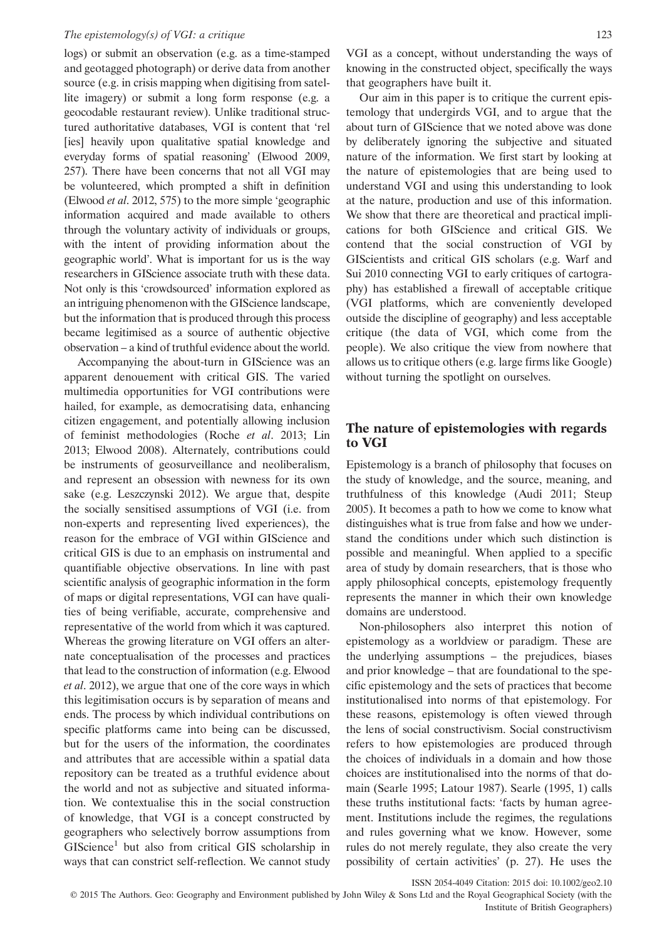logs) or submit an observation (e.g. as a time-stamped and geotagged photograph) or derive data from another source (e.g. in crisis mapping when digitising from satellite imagery) or submit a long form response (e.g. a geocodable restaurant review). Unlike traditional structured authoritative databases, VGI is content that 'rel [ies] heavily upon qualitative spatial knowledge and everyday forms of spatial reasoning' (Elwood 2009, 257). There have been concerns that not all VGI may be volunteered, which prompted a shift in definition (Elwood et al. 2012, 575) to the more simple 'geographic information acquired and made available to others through the voluntary activity of individuals or groups, with the intent of providing information about the geographic world'. What is important for us is the way researchers in GIScience associate truth with these data. Not only is this 'crowdsourced' information explored as an intriguing phenomenon with the GIScience landscape, but the information that is produced through this process became legitimised as a source of authentic objective observation – a kind of truthful evidence about the world.

Accompanying the about-turn in GIScience was an apparent denouement with critical GIS. The varied multimedia opportunities for VGI contributions were hailed, for example, as democratising data, enhancing citizen engagement, and potentially allowing inclusion of feminist methodologies (Roche et al. 2013; Lin 2013; Elwood 2008). Alternately, contributions could be instruments of geosurveillance and neoliberalism, and represent an obsession with newness for its own sake (e.g. Leszczynski 2012). We argue that, despite the socially sensitised assumptions of VGI (i.e. from non-experts and representing lived experiences), the reason for the embrace of VGI within GIScience and critical GIS is due to an emphasis on instrumental and quantifiable objective observations. In line with past scientific analysis of geographic information in the form of maps or digital representations, VGI can have qualities of being verifiable, accurate, comprehensive and representative of the world from which it was captured. Whereas the growing literature on VGI offers an alternate conceptualisation of the processes and practices that lead to the construction of information (e.g. Elwood et al. 2012), we argue that one of the core ways in which this legitimisation occurs is by separation of means and ends. The process by which individual contributions on specific platforms came into being can be discussed, but for the users of the information, the coordinates and attributes that are accessible within a spatial data repository can be treated as a truthful evidence about the world and not as subjective and situated information. We contextualise this in the social construction of knowledge, that VGI is a concept constructed by geographers who selectively borrow assumptions from GIScience<sup>1</sup> but also from critical GIS scholarship in ways that can constrict self-reflection. We cannot study

Our aim in this paper is to critique the current epistemology that undergirds VGI, and to argue that the about turn of GIScience that we noted above was done by deliberately ignoring the subjective and situated nature of the information. We first start by looking at the nature of epistemologies that are being used to understand VGI and using this understanding to look at the nature, production and use of this information. We show that there are theoretical and practical implications for both GIScience and critical GIS. We contend that the social construction of VGI by GIScientists and critical GIS scholars (e.g. Warf and Sui 2010 connecting VGI to early critiques of cartography) has established a firewall of acceptable critique (VGI platforms, which are conveniently developed outside the discipline of geography) and less acceptable critique (the data of VGI, which come from the people). We also critique the view from nowhere that allows us to critique others (e.g. large firms like Google) without turning the spotlight on ourselves.

# The nature of epistemologies with regards to VGI

Epistemology is a branch of philosophy that focuses on the study of knowledge, and the source, meaning, and truthfulness of this knowledge (Audi 2011; Steup 2005). It becomes a path to how we come to know what distinguishes what is true from false and how we understand the conditions under which such distinction is possible and meaningful. When applied to a specific area of study by domain researchers, that is those who apply philosophical concepts, epistemology frequently represents the manner in which their own knowledge domains are understood.

Non-philosophers also interpret this notion of epistemology as a worldview or paradigm. These are the underlying assumptions – the prejudices, biases and prior knowledge – that are foundational to the specific epistemology and the sets of practices that become institutionalised into norms of that epistemology. For these reasons, epistemology is often viewed through the lens of social constructivism. Social constructivism refers to how epistemologies are produced through the choices of individuals in a domain and how those choices are institutionalised into the norms of that domain (Searle 1995; Latour 1987). Searle (1995, 1) calls these truths institutional facts: 'facts by human agreement. Institutions include the regimes, the regulations and rules governing what we know. However, some rules do not merely regulate, they also create the very possibility of certain activities' (p. 27). He uses the

ISSN 2054-4049 Citation: 2015 doi: 10.1002/geo2.10

<sup>© 2015</sup> The Authors. Geo: Geography and Environment published by John Wiley & Sons Ltd and the Royal Geographical Society (with the Institute of British Geographers)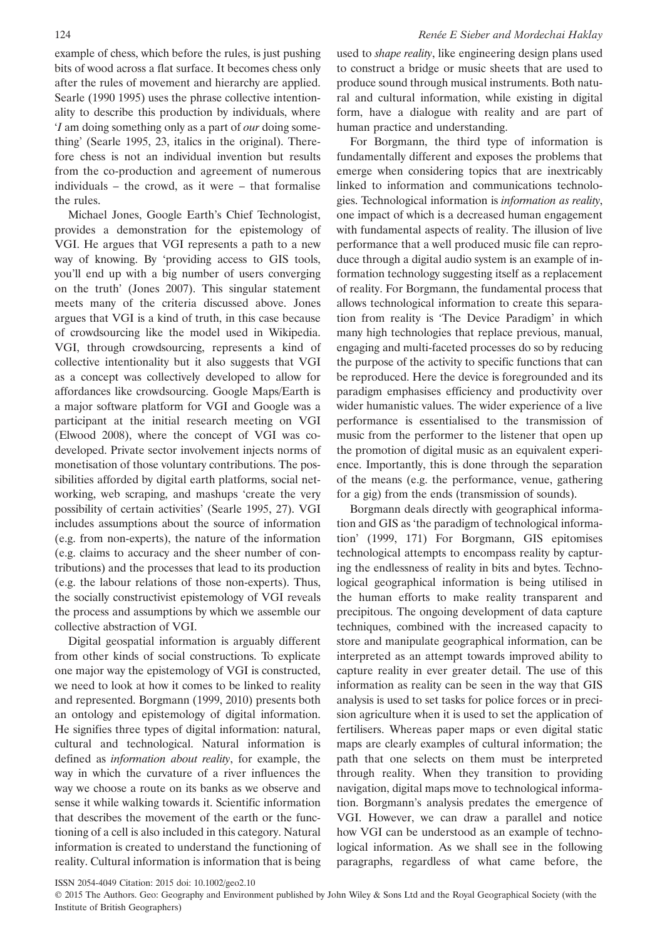example of chess, which before the rules, is just pushing bits of wood across a flat surface. It becomes chess only after the rules of movement and hierarchy are applied. Searle (1990 1995) uses the phrase collective intentionality to describe this production by individuals, where 'I am doing something only as a part of our doing something' (Searle 1995, 23, italics in the original). Therefore chess is not an individual invention but results from the co-production and agreement of numerous individuals – the crowd, as it were – that formalise the rules.

Michael Jones, Google Earth's Chief Technologist, provides a demonstration for the epistemology of VGI. He argues that VGI represents a path to a new way of knowing. By 'providing access to GIS tools, you'll end up with a big number of users converging on the truth' (Jones 2007). This singular statement meets many of the criteria discussed above. Jones argues that VGI is a kind of truth, in this case because of crowdsourcing like the model used in Wikipedia. VGI, through crowdsourcing, represents a kind of collective intentionality but it also suggests that VGI as a concept was collectively developed to allow for affordances like crowdsourcing. Google Maps/Earth is a major software platform for VGI and Google was a participant at the initial research meeting on VGI (Elwood 2008), where the concept of VGI was codeveloped. Private sector involvement injects norms of monetisation of those voluntary contributions. The possibilities afforded by digital earth platforms, social networking, web scraping, and mashups 'create the very possibility of certain activities' (Searle 1995, 27). VGI includes assumptions about the source of information (e.g. from non-experts), the nature of the information (e.g. claims to accuracy and the sheer number of contributions) and the processes that lead to its production (e.g. the labour relations of those non-experts). Thus, the socially constructivist epistemology of VGI reveals the process and assumptions by which we assemble our collective abstraction of VGI.

Digital geospatial information is arguably different from other kinds of social constructions. To explicate one major way the epistemology of VGI is constructed, we need to look at how it comes to be linked to reality and represented. Borgmann (1999, 2010) presents both an ontology and epistemology of digital information. He signifies three types of digital information: natural, cultural and technological. Natural information is defined as information about reality, for example, the way in which the curvature of a river influences the way we choose a route on its banks as we observe and sense it while walking towards it. Scientific information that describes the movement of the earth or the functioning of a cell is also included in this category. Natural information is created to understand the functioning of reality. Cultural information is information that is being

used to *shape reality*, like engineering design plans used to construct a bridge or music sheets that are used to produce sound through musical instruments. Both natural and cultural information, while existing in digital form, have a dialogue with reality and are part of human practice and understanding.

For Borgmann, the third type of information is fundamentally different and exposes the problems that emerge when considering topics that are inextricably linked to information and communications technologies. Technological information is information as reality, one impact of which is a decreased human engagement with fundamental aspects of reality. The illusion of live performance that a well produced music file can reproduce through a digital audio system is an example of information technology suggesting itself as a replacement of reality. For Borgmann, the fundamental process that allows technological information to create this separation from reality is 'The Device Paradigm' in which many high technologies that replace previous, manual, engaging and multi-faceted processes do so by reducing the purpose of the activity to specific functions that can be reproduced. Here the device is foregrounded and its paradigm emphasises efficiency and productivity over wider humanistic values. The wider experience of a live performance is essentialised to the transmission of music from the performer to the listener that open up the promotion of digital music as an equivalent experience. Importantly, this is done through the separation of the means (e.g. the performance, venue, gathering for a gig) from the ends (transmission of sounds).

Borgmann deals directly with geographical information and GIS as 'the paradigm of technological information' (1999, 171) For Borgmann, GIS epitomises technological attempts to encompass reality by capturing the endlessness of reality in bits and bytes. Technological geographical information is being utilised in the human efforts to make reality transparent and precipitous. The ongoing development of data capture techniques, combined with the increased capacity to store and manipulate geographical information, can be interpreted as an attempt towards improved ability to capture reality in ever greater detail. The use of this information as reality can be seen in the way that GIS analysis is used to set tasks for police forces or in precision agriculture when it is used to set the application of fertilisers. Whereas paper maps or even digital static maps are clearly examples of cultural information; the path that one selects on them must be interpreted through reality. When they transition to providing navigation, digital maps move to technological information. Borgmann's analysis predates the emergence of VGI. However, we can draw a parallel and notice how VGI can be understood as an example of technological information. As we shall see in the following paragraphs, regardless of what came before, the

ISSN 2054-4049 Citation: 2015 doi: 10.1002/geo2.10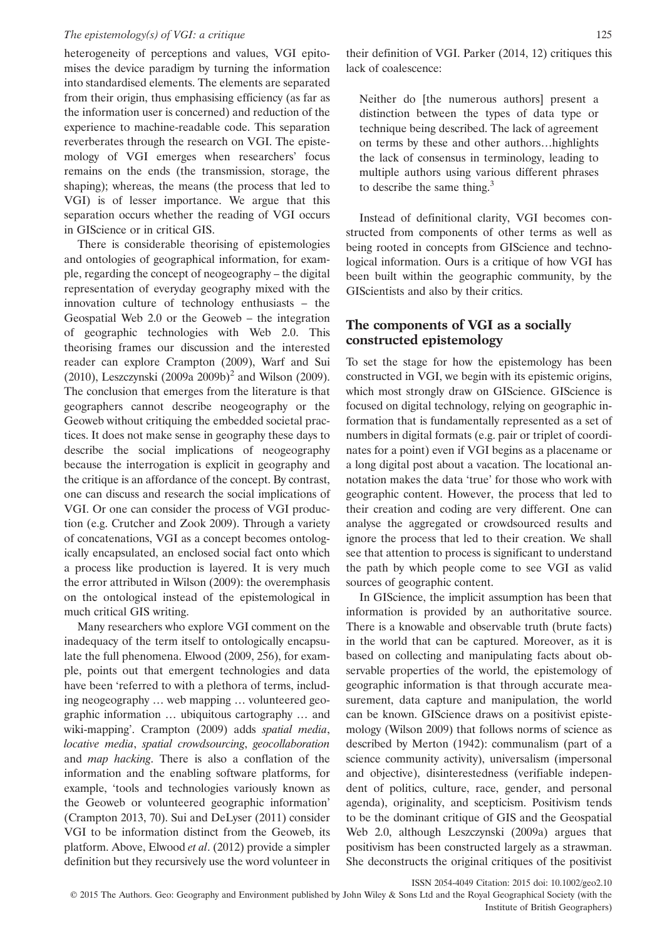heterogeneity of perceptions and values, VGI epitomises the device paradigm by turning the information into standardised elements. The elements are separated from their origin, thus emphasising efficiency (as far as the information user is concerned) and reduction of the experience to machine-readable code. This separation reverberates through the research on VGI. The epistemology of VGI emerges when researchers' focus remains on the ends (the transmission, storage, the shaping); whereas, the means (the process that led to VGI) is of lesser importance. We argue that this separation occurs whether the reading of VGI occurs in GIScience or in critical GIS.

There is considerable theorising of epistemologies and ontologies of geographical information, for example, regarding the concept of neogeography – the digital representation of everyday geography mixed with the innovation culture of technology enthusiasts – the Geospatial Web 2.0 or the Geoweb – the integration of geographic technologies with Web 2.0. This theorising frames our discussion and the interested reader can explore Crampton (2009), Warf and Sui (2010), Leszczynski (2009a 2009b)<sup>2</sup> and Wilson (2009). The conclusion that emerges from the literature is that geographers cannot describe neogeography or the Geoweb without critiquing the embedded societal practices. It does not make sense in geography these days to describe the social implications of neogeography because the interrogation is explicit in geography and the critique is an affordance of the concept. By contrast, one can discuss and research the social implications of VGI. Or one can consider the process of VGI production (e.g. Crutcher and Zook 2009). Through a variety of concatenations, VGI as a concept becomes ontologically encapsulated, an enclosed social fact onto which a process like production is layered. It is very much the error attributed in Wilson (2009): the overemphasis on the ontological instead of the epistemological in much critical GIS writing.

Many researchers who explore VGI comment on the inadequacy of the term itself to ontologically encapsulate the full phenomena. Elwood (2009, 256), for example, points out that emergent technologies and data have been 'referred to with a plethora of terms, including neogeography … web mapping … volunteered geographic information … ubiquitous cartography … and wiki-mapping'. Crampton (2009) adds spatial media, locative media, spatial crowdsourcing, geocollaboration and map hacking. There is also a conflation of the information and the enabling software platforms, for example, 'tools and technologies variously known as the Geoweb or volunteered geographic information' (Crampton 2013, 70). Sui and DeLyser (2011) consider VGI to be information distinct from the Geoweb, its platform. Above, Elwood et al. (2012) provide a simpler definition but they recursively use the word volunteer in

their definition of VGI. Parker (2014, 12) critiques this lack of coalescence:

Neither do [the numerous authors] present a distinction between the types of data type or technique being described. The lack of agreement on terms by these and other authors…highlights the lack of consensus in terminology, leading to multiple authors using various different phrases to describe the same thing.<sup>3</sup>

Instead of definitional clarity, VGI becomes constructed from components of other terms as well as being rooted in concepts from GIScience and technological information. Ours is a critique of how VGI has been built within the geographic community, by the GIScientists and also by their critics.

# The components of VGI as a socially constructed epistemology

To set the stage for how the epistemology has been constructed in VGI, we begin with its epistemic origins, which most strongly draw on GIScience. GIScience is focused on digital technology, relying on geographic information that is fundamentally represented as a set of numbers in digital formats (e.g. pair or triplet of coordinates for a point) even if VGI begins as a placename or a long digital post about a vacation. The locational annotation makes the data 'true' for those who work with geographic content. However, the process that led to their creation and coding are very different. One can analyse the aggregated or crowdsourced results and ignore the process that led to their creation. We shall see that attention to process is significant to understand the path by which people come to see VGI as valid sources of geographic content.

In GIScience, the implicit assumption has been that information is provided by an authoritative source. There is a knowable and observable truth (brute facts) in the world that can be captured. Moreover, as it is based on collecting and manipulating facts about observable properties of the world, the epistemology of geographic information is that through accurate measurement, data capture and manipulation, the world can be known. GIScience draws on a positivist epistemology (Wilson 2009) that follows norms of science as described by Merton (1942): communalism (part of a science community activity), universalism (impersonal and objective), disinterestedness (verifiable independent of politics, culture, race, gender, and personal agenda), originality, and scepticism. Positivism tends to be the dominant critique of GIS and the Geospatial Web 2.0, although Leszczynski (2009a) argues that positivism has been constructed largely as a strawman. She deconstructs the original critiques of the positivist

ISSN 2054-4049 Citation: 2015 doi: 10.1002/geo2.10

<sup>© 2015</sup> The Authors. Geo: Geography and Environment published by John Wiley & Sons Ltd and the Royal Geographical Society (with the Institute of British Geographers)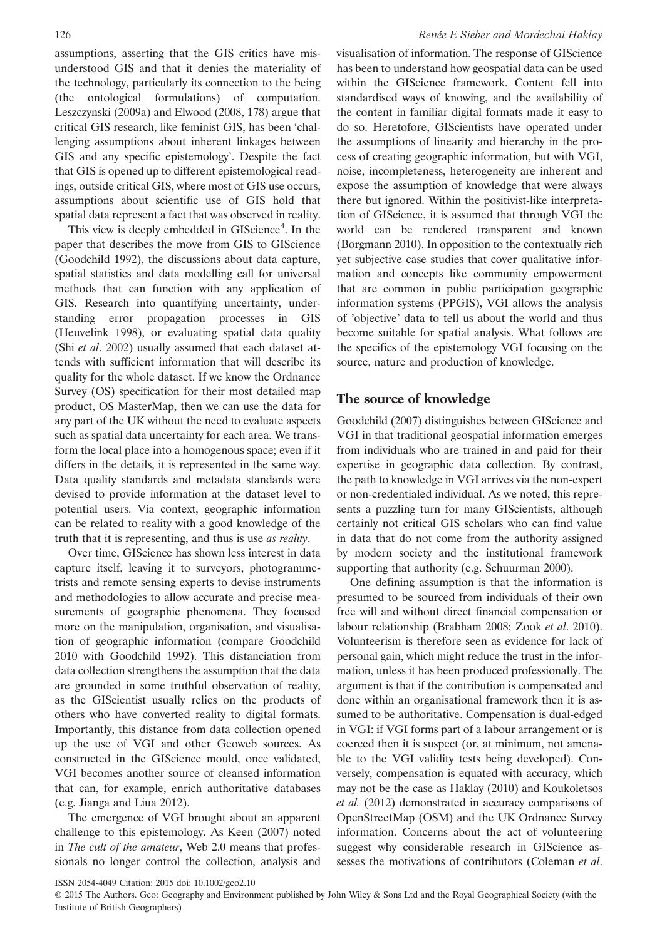assumptions, asserting that the GIS critics have misunderstood GIS and that it denies the materiality of the technology, particularly its connection to the being (the ontological formulations) of computation. Leszczynski (2009a) and Elwood (2008, 178) argue that critical GIS research, like feminist GIS, has been 'challenging assumptions about inherent linkages between GIS and any specific epistemology'. Despite the fact that GIS is opened up to different epistemological readings, outside critical GIS, where most of GIS use occurs, assumptions about scientific use of GIS hold that spatial data represent a fact that was observed in reality.

This view is deeply embedded in GIScience<sup>4</sup>. In the paper that describes the move from GIS to GIScience (Goodchild 1992), the discussions about data capture, spatial statistics and data modelling call for universal methods that can function with any application of GIS. Research into quantifying uncertainty, understanding error propagation processes in GIS (Heuvelink 1998), or evaluating spatial data quality (Shi et al. 2002) usually assumed that each dataset attends with sufficient information that will describe its quality for the whole dataset. If we know the Ordnance Survey (OS) specification for their most detailed map product, OS MasterMap, then we can use the data for any part of the UK without the need to evaluate aspects such as spatial data uncertainty for each area. We transform the local place into a homogenous space; even if it differs in the details, it is represented in the same way. Data quality standards and metadata standards were devised to provide information at the dataset level to potential users. Via context, geographic information can be related to reality with a good knowledge of the truth that it is representing, and thus is use as reality.

Over time, GIScience has shown less interest in data capture itself, leaving it to surveyors, photogrammetrists and remote sensing experts to devise instruments and methodologies to allow accurate and precise measurements of geographic phenomena. They focused more on the manipulation, organisation, and visualisation of geographic information (compare Goodchild 2010 with Goodchild 1992). This distanciation from data collection strengthens the assumption that the data are grounded in some truthful observation of reality, as the GIScientist usually relies on the products of others who have converted reality to digital formats. Importantly, this distance from data collection opened up the use of VGI and other Geoweb sources. As constructed in the GIScience mould, once validated, VGI becomes another source of cleansed information that can, for example, enrich authoritative databases (e.g. Jianga and Liua 2012).

The emergence of VGI brought about an apparent challenge to this epistemology. As Keen (2007) noted in The cult of the amateur, Web 2.0 means that professionals no longer control the collection, analysis and visualisation of information. The response of GIScience has been to understand how geospatial data can be used within the GIScience framework. Content fell into standardised ways of knowing, and the availability of the content in familiar digital formats made it easy to do so. Heretofore, GIScientists have operated under the assumptions of linearity and hierarchy in the process of creating geographic information, but with VGI, noise, incompleteness, heterogeneity are inherent and expose the assumption of knowledge that were always there but ignored. Within the positivist-like interpretation of GIScience, it is assumed that through VGI the world can be rendered transparent and known (Borgmann 2010). In opposition to the contextually rich yet subjective case studies that cover qualitative information and concepts like community empowerment that are common in public participation geographic information systems (PPGIS), VGI allows the analysis of 'objective' data to tell us about the world and thus become suitable for spatial analysis. What follows are the specifics of the epistemology VGI focusing on the source, nature and production of knowledge.

# The source of knowledge

Goodchild (2007) distinguishes between GIScience and VGI in that traditional geospatial information emerges from individuals who are trained in and paid for their expertise in geographic data collection. By contrast, the path to knowledge in VGI arrives via the non-expert or non-credentialed individual. As we noted, this represents a puzzling turn for many GIScientists, although certainly not critical GIS scholars who can find value in data that do not come from the authority assigned by modern society and the institutional framework supporting that authority (e.g. Schuurman 2000).

One defining assumption is that the information is presumed to be sourced from individuals of their own free will and without direct financial compensation or labour relationship (Brabham 2008; Zook et al. 2010). Volunteerism is therefore seen as evidence for lack of personal gain, which might reduce the trust in the information, unless it has been produced professionally. The argument is that if the contribution is compensated and done within an organisational framework then it is assumed to be authoritative. Compensation is dual-edged in VGI: if VGI forms part of a labour arrangement or is coerced then it is suspect (or, at minimum, not amenable to the VGI validity tests being developed). Conversely, compensation is equated with accuracy, which may not be the case as Haklay (2010) and Koukoletsos et al. (2012) demonstrated in accuracy comparisons of OpenStreetMap (OSM) and the UK Ordnance Survey information. Concerns about the act of volunteering suggest why considerable research in GIScience assesses the motivations of contributors (Coleman et al.

ISSN 2054-4049 Citation: 2015 doi: 10.1002/geo2.10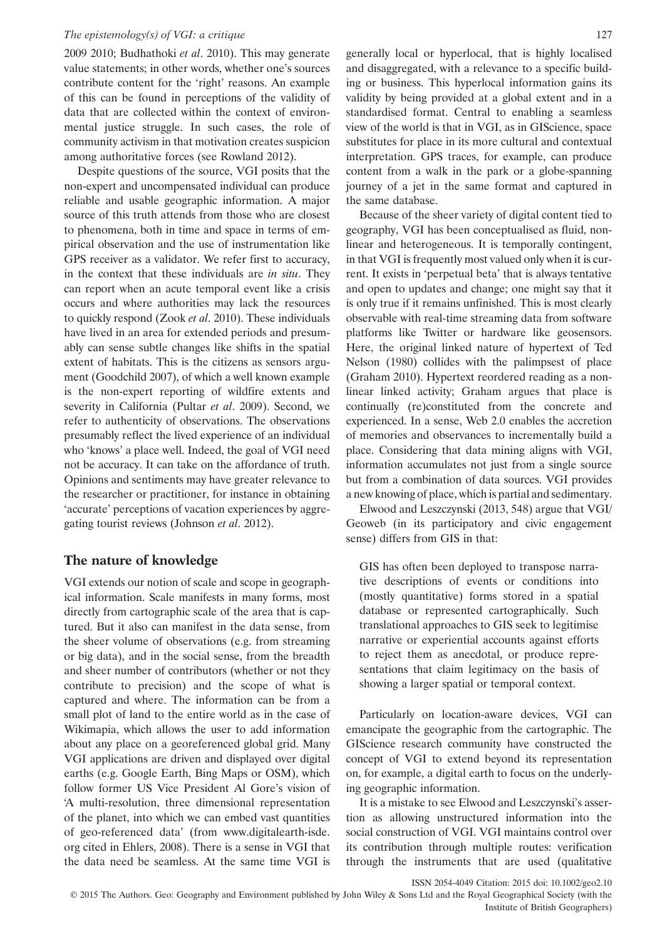2009 2010; Budhathoki et al. 2010). This may generate value statements; in other words, whether one's sources contribute content for the 'right' reasons. An example of this can be found in perceptions of the validity of data that are collected within the context of environmental justice struggle. In such cases, the role of community activism in that motivation creates suspicion among authoritative forces (see Rowland 2012).

Despite questions of the source, VGI posits that the non-expert and uncompensated individual can produce reliable and usable geographic information. A major source of this truth attends from those who are closest to phenomena, both in time and space in terms of empirical observation and the use of instrumentation like GPS receiver as a validator. We refer first to accuracy, in the context that these individuals are in situ. They can report when an acute temporal event like a crisis occurs and where authorities may lack the resources to quickly respond (Zook et al. 2010). These individuals have lived in an area for extended periods and presumably can sense subtle changes like shifts in the spatial extent of habitats. This is the citizens as sensors argument (Goodchild 2007), of which a well known example is the non-expert reporting of wildfire extents and severity in California (Pultar et al. 2009). Second, we refer to authenticity of observations. The observations presumably reflect the lived experience of an individual who 'knows' a place well. Indeed, the goal of VGI need not be accuracy. It can take on the affordance of truth. Opinions and sentiments may have greater relevance to the researcher or practitioner, for instance in obtaining 'accurate' perceptions of vacation experiences by aggregating tourist reviews (Johnson et al. 2012).

# The nature of knowledge

VGI extends our notion of scale and scope in geographical information. Scale manifests in many forms, most directly from cartographic scale of the area that is captured. But it also can manifest in the data sense, from the sheer volume of observations (e.g. from streaming or big data), and in the social sense, from the breadth and sheer number of contributors (whether or not they contribute to precision) and the scope of what is captured and where. The information can be from a small plot of land to the entire world as in the case of Wikimapia, which allows the user to add information about any place on a georeferenced global grid. Many VGI applications are driven and displayed over digital earths (e.g. Google Earth, Bing Maps or OSM), which follow former US Vice President Al Gore's vision of 'A multi-resolution, three dimensional representation of the planet, into which we can embed vast quantities of geo-referenced data' (from [www.digitalearth-isde.](http://www.digitalearth-isde.org) [org](http://www.digitalearth-isde.org) cited in Ehlers, 2008). There is a sense in VGI that the data need be seamless. At the same time VGI is

generally local or hyperlocal, that is highly localised and disaggregated, with a relevance to a specific building or business. This hyperlocal information gains its validity by being provided at a global extent and in a standardised format. Central to enabling a seamless view of the world is that in VGI, as in GIScience, space substitutes for place in its more cultural and contextual interpretation. GPS traces, for example, can produce content from a walk in the park or a globe-spanning journey of a jet in the same format and captured in the same database.

Because of the sheer variety of digital content tied to geography, VGI has been conceptualised as fluid, nonlinear and heterogeneous. It is temporally contingent, in that VGI is frequently most valued only when it is current. It exists in 'perpetual beta' that is always tentative and open to updates and change; one might say that it is only true if it remains unfinished. This is most clearly observable with real-time streaming data from software platforms like Twitter or hardware like geosensors. Here, the original linked nature of hypertext of Ted Nelson (1980) collides with the palimpsest of place (Graham 2010). Hypertext reordered reading as a nonlinear linked activity; Graham argues that place is continually (re)constituted from the concrete and experienced. In a sense, Web 2.0 enables the accretion of memories and observances to incrementally build a place. Considering that data mining aligns with VGI, information accumulates not just from a single source but from a combination of data sources. VGI provides a new knowing of place, which is partial and sedimentary.

Elwood and Leszczynski (2013, 548) argue that VGI/ Geoweb (in its participatory and civic engagement sense) differs from GIS in that:

GIS has often been deployed to transpose narrative descriptions of events or conditions into (mostly quantitative) forms stored in a spatial database or represented cartographically. Such translational approaches to GIS seek to legitimise narrative or experiential accounts against efforts to reject them as anecdotal, or produce representations that claim legitimacy on the basis of showing a larger spatial or temporal context.

Particularly on location-aware devices, VGI can emancipate the geographic from the cartographic. The GIScience research community have constructed the concept of VGI to extend beyond its representation on, for example, a digital earth to focus on the underlying geographic information.

It is a mistake to see Elwood and Leszczynski's assertion as allowing unstructured information into the social construction of VGI. VGI maintains control over its contribution through multiple routes: verification through the instruments that are used (qualitative

ISSN 2054-4049 Citation: 2015 doi: 10.1002/geo2.10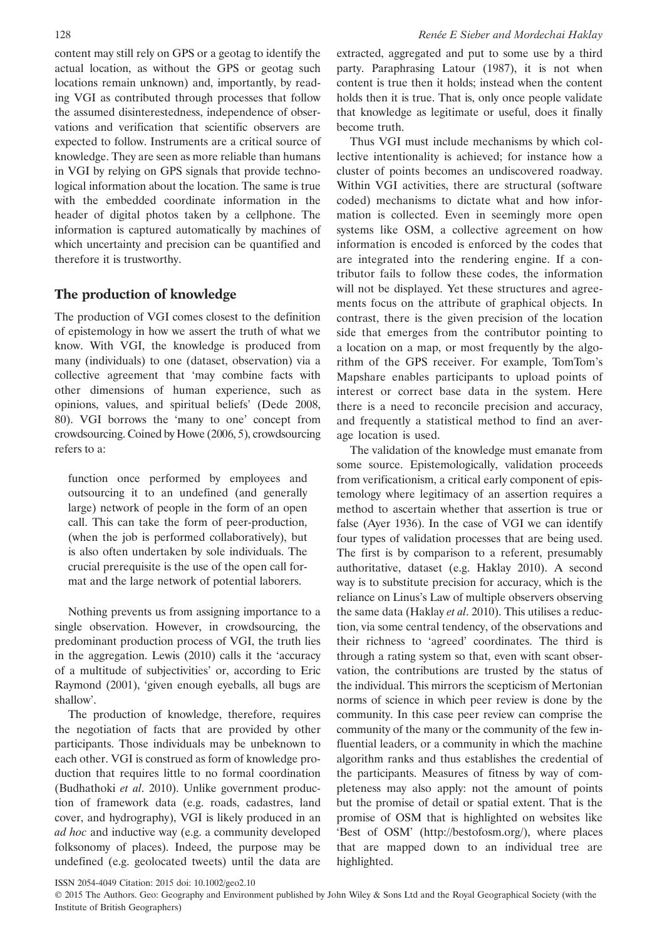content may still rely on GPS or a geotag to identify the actual location, as without the GPS or geotag such locations remain unknown) and, importantly, by reading VGI as contributed through processes that follow the assumed disinterestedness, independence of observations and verification that scientific observers are expected to follow. Instruments are a critical source of knowledge. They are seen as more reliable than humans in VGI by relying on GPS signals that provide technological information about the location. The same is true with the embedded coordinate information in the header of digital photos taken by a cellphone. The information is captured automatically by machines of which uncertainty and precision can be quantified and therefore it is trustworthy.

# The production of knowledge

The production of VGI comes closest to the definition of epistemology in how we assert the truth of what we know. With VGI, the knowledge is produced from many (individuals) to one (dataset, observation) via a collective agreement that 'may combine facts with other dimensions of human experience, such as opinions, values, and spiritual beliefs' (Dede 2008, 80). VGI borrows the 'many to one' concept from crowdsourcing. Coined by Howe (2006, 5), crowdsourcing refers to a:

function once performed by employees and outsourcing it to an undefined (and generally large) network of people in the form of an open call. This can take the form of peer-production, (when the job is performed collaboratively), but is also often undertaken by sole individuals. The crucial prerequisite is the use of the open call format and the large network of potential laborers.

Nothing prevents us from assigning importance to a single observation. However, in crowdsourcing, the predominant production process of VGI, the truth lies in the aggregation. Lewis (2010) calls it the 'accuracy of a multitude of subjectivities' or, according to Eric Raymond (2001), 'given enough eyeballs, all bugs are shallow'.

The production of knowledge, therefore, requires the negotiation of facts that are provided by other participants. Those individuals may be unbeknown to each other. VGI is construed as form of knowledge production that requires little to no formal coordination (Budhathoki et al. 2010). Unlike government production of framework data (e.g. roads, cadastres, land cover, and hydrography), VGI is likely produced in an ad hoc and inductive way (e.g. a community developed folksonomy of places). Indeed, the purpose may be undefined (e.g. geolocated tweets) until the data are

extracted, aggregated and put to some use by a third party. Paraphrasing Latour (1987), it is not when content is true then it holds; instead when the content holds then it is true. That is, only once people validate that knowledge as legitimate or useful, does it finally become truth.

Thus VGI must include mechanisms by which collective intentionality is achieved; for instance how a cluster of points becomes an undiscovered roadway. Within VGI activities, there are structural (software coded) mechanisms to dictate what and how information is collected. Even in seemingly more open systems like OSM, a collective agreement on how information is encoded is enforced by the codes that are integrated into the rendering engine. If a contributor fails to follow these codes, the information will not be displayed. Yet these structures and agreements focus on the attribute of graphical objects. In contrast, there is the given precision of the location side that emerges from the contributor pointing to a location on a map, or most frequently by the algorithm of the GPS receiver. For example, TomTom's Mapshare enables participants to upload points of interest or correct base data in the system. Here there is a need to reconcile precision and accuracy, and frequently a statistical method to find an average location is used.

The validation of the knowledge must emanate from some source. Epistemologically, validation proceeds from verificationism, a critical early component of epistemology where legitimacy of an assertion requires a method to ascertain whether that assertion is true or false (Ayer 1936). In the case of VGI we can identify four types of validation processes that are being used. The first is by comparison to a referent, presumably authoritative, dataset (e.g. Haklay 2010). A second way is to substitute precision for accuracy, which is the reliance on Linus's Law of multiple observers observing the same data (Haklay et al. 2010). This utilises a reduction, via some central tendency, of the observations and their richness to 'agreed' coordinates. The third is through a rating system so that, even with scant observation, the contributions are trusted by the status of the individual. This mirrors the scepticism of Mertonian norms of science in which peer review is done by the community. In this case peer review can comprise the community of the many or the community of the few influential leaders, or a community in which the machine algorithm ranks and thus establishes the credential of the participants. Measures of fitness by way of completeness may also apply: not the amount of points but the promise of detail or spatial extent. That is the promise of OSM that is highlighted on websites like 'Best of OSM' [\(http://bestofosm.org](http://bestofosm.org)/), where places that are mapped down to an individual tree are highlighted.

ISSN 2054-4049 Citation: 2015 doi: 10.1002/geo2.10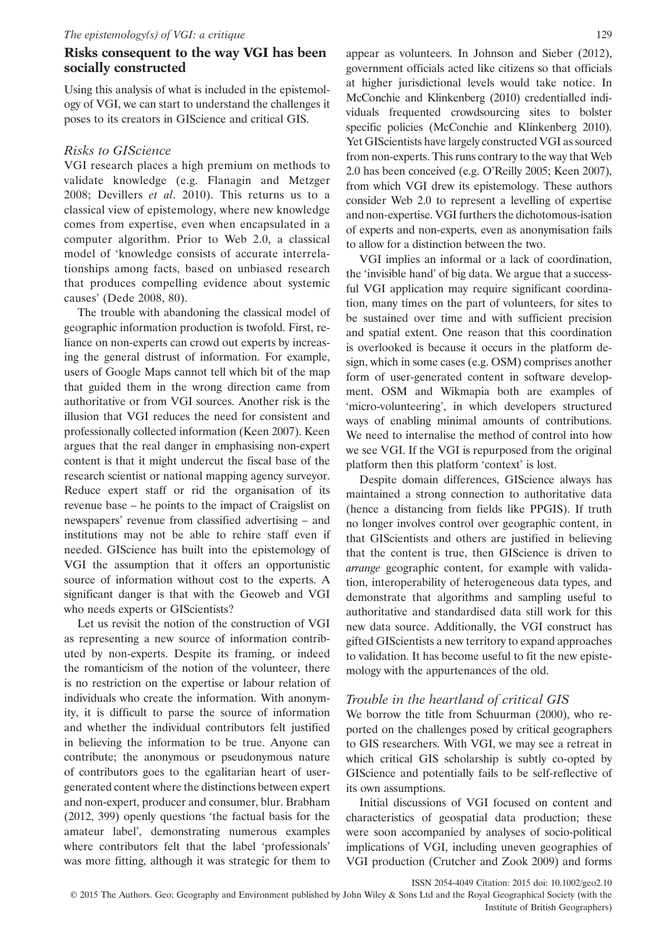# Risks consequent to the way VGI has been socially constructed

Using this analysis of what is included in the epistemology of VGI, we can start to understand the challenges it poses to its creators in GIScience and critical GIS.

#### Risks to GIScience

VGI research places a high premium on methods to validate knowledge (e.g. Flanagin and Metzger 2008; Devillers et al. 2010). This returns us to a classical view of epistemology, where new knowledge comes from expertise, even when encapsulated in a computer algorithm. Prior to Web 2.0, a classical model of 'knowledge consists of accurate interrelationships among facts, based on unbiased research that produces compelling evidence about systemic causes' (Dede 2008, 80).

The trouble with abandoning the classical model of geographic information production is twofold. First, reliance on non-experts can crowd out experts by increasing the general distrust of information. For example, users of Google Maps cannot tell which bit of the map that guided them in the wrong direction came from authoritative or from VGI sources. Another risk is the illusion that VGI reduces the need for consistent and professionally collected information (Keen 2007). Keen argues that the real danger in emphasising non-expert content is that it might undercut the fiscal base of the research scientist or national mapping agency surveyor. Reduce expert staff or rid the organisation of its revenue base – he points to the impact of Craigslist on newspapers' revenue from classified advertising – and institutions may not be able to rehire staff even if needed. GIScience has built into the epistemology of VGI the assumption that it offers an opportunistic source of information without cost to the experts. A significant danger is that with the Geoweb and VGI who needs experts or GIScientists?

Let us revisit the notion of the construction of VGI as representing a new source of information contributed by non-experts. Despite its framing, or indeed the romanticism of the notion of the volunteer, there is no restriction on the expertise or labour relation of individuals who create the information. With anonymity, it is difficult to parse the source of information and whether the individual contributors felt justified in believing the information to be true. Anyone can contribute; the anonymous or pseudonymous nature of contributors goes to the egalitarian heart of usergenerated content where the distinctions between expert and non-expert, producer and consumer, blur. Brabham (2012, 399) openly questions 'the factual basis for the amateur label', demonstrating numerous examples where contributors felt that the label 'professionals' was more fitting, although it was strategic for them to appear as volunteers. In Johnson and Sieber (2012), government officials acted like citizens so that officials at higher jurisdictional levels would take notice. In McConchie and Klinkenberg (2010) credentialled individuals frequented crowdsourcing sites to bolster specific policies (McConchie and Klinkenberg 2010). Yet GIScientists have largely constructed VGI as sourced from non-experts. This runs contrary to the way that Web 2.0 has been conceived (e.g. O'Reilly 2005; Keen 2007), from which VGI drew its epistemology. These authors consider Web 2.0 to represent a levelling of expertise and non-expertise. VGI furthers the dichotomous-isation of experts and non-experts, even as anonymisation fails to allow for a distinction between the two.

VGI implies an informal or a lack of coordination, the 'invisible hand' of big data. We argue that a successful VGI application may require significant coordination, many times on the part of volunteers, for sites to be sustained over time and with sufficient precision and spatial extent. One reason that this coordination is overlooked is because it occurs in the platform design, which in some cases (e.g. OSM) comprises another form of user-generated content in software development. OSM and Wikmapia both are examples of 'micro-volunteering', in which developers structured ways of enabling minimal amounts of contributions. We need to internalise the method of control into how we see VGI. If the VGI is repurposed from the original platform then this platform 'context' is lost.

Despite domain differences, GIScience always has maintained a strong connection to authoritative data (hence a distancing from fields like PPGIS). If truth no longer involves control over geographic content, in that GIScientists and others are justified in believing that the content is true, then GIScience is driven to arrange geographic content, for example with validation, interoperability of heterogeneous data types, and demonstrate that algorithms and sampling useful to authoritative and standardised data still work for this new data source. Additionally, the VGI construct has gifted GIScientists a new territory to expand approaches to validation. It has become useful to fit the new epistemology with the appurtenances of the old.

#### Trouble in the heartland of critical GIS

We borrow the title from Schuurman (2000), who reported on the challenges posed by critical geographers to GIS researchers. With VGI, we may see a retreat in which critical GIS scholarship is subtly co-opted by GIScience and potentially fails to be self-reflective of its own assumptions.

Initial discussions of VGI focused on content and characteristics of geospatial data production; these were soon accompanied by analyses of socio-political implications of VGI, including uneven geographies of VGI production (Crutcher and Zook 2009) and forms

ISSN 2054-4049 Citation: 2015 doi: 10.1002/geo2.10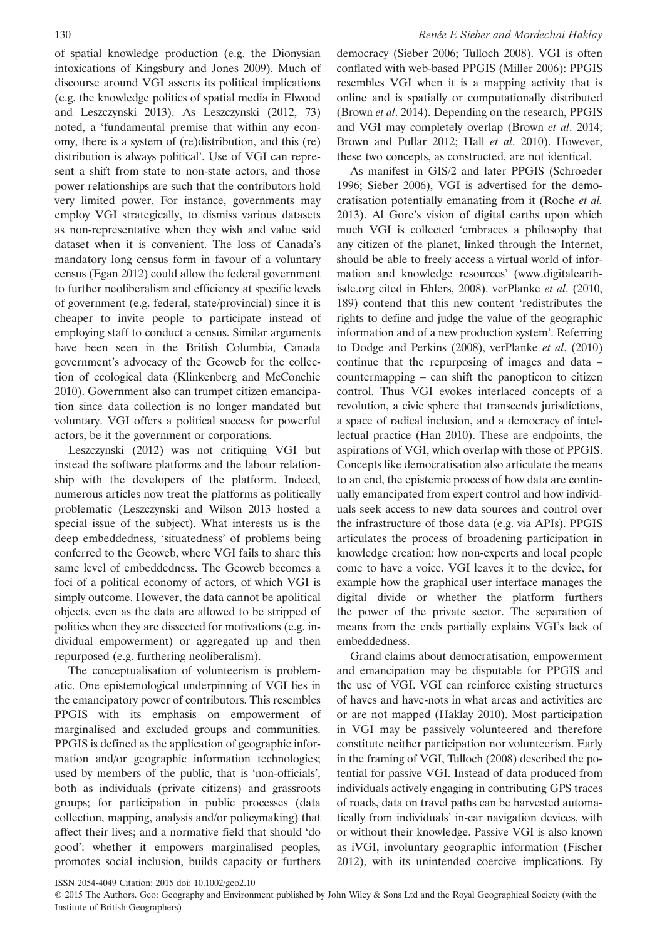of spatial knowledge production (e.g. the Dionysian intoxications of Kingsbury and Jones 2009). Much of discourse around VGI asserts its political implications (e.g. the knowledge politics of spatial media in Elwood and Leszczynski 2013). As Leszczynski (2012, 73) noted, a 'fundamental premise that within any economy, there is a system of (re)distribution, and this (re) distribution is always political'. Use of VGI can represent a shift from state to non-state actors, and those power relationships are such that the contributors hold very limited power. For instance, governments may employ VGI strategically, to dismiss various datasets as non-representative when they wish and value said dataset when it is convenient. The loss of Canada's mandatory long census form in favour of a voluntary census (Egan 2012) could allow the federal government to further neoliberalism and efficiency at specific levels of government (e.g. federal, state/provincial) since it is cheaper to invite people to participate instead of employing staff to conduct a census. Similar arguments have been seen in the British Columbia, Canada government's advocacy of the Geoweb for the collection of ecological data (Klinkenberg and McConchie 2010). Government also can trumpet citizen emancipation since data collection is no longer mandated but voluntary. VGI offers a political success for powerful actors, be it the government or corporations.

Leszczynski (2012) was not critiquing VGI but instead the software platforms and the labour relationship with the developers of the platform. Indeed, numerous articles now treat the platforms as politically problematic (Leszczynski and Wilson 2013 hosted a special issue of the subject). What interests us is the deep embeddedness, 'situatedness' of problems being conferred to the Geoweb, where VGI fails to share this same level of embeddedness. The Geoweb becomes a foci of a political economy of actors, of which VGI is simply outcome. However, the data cannot be apolitical objects, even as the data are allowed to be stripped of politics when they are dissected for motivations (e.g. individual empowerment) or aggregated up and then repurposed (e.g. furthering neoliberalism).

The conceptualisation of volunteerism is problematic. One epistemological underpinning of VGI lies in the emancipatory power of contributors. This resembles PPGIS with its emphasis on empowerment of marginalised and excluded groups and communities. PPGIS is defined as the application of geographic information and/or geographic information technologies; used by members of the public, that is 'non-officials', both as individuals (private citizens) and grassroots groups; for participation in public processes (data collection, mapping, analysis and/or policymaking) that affect their lives; and a normative field that should 'do good': whether it empowers marginalised peoples, promotes social inclusion, builds capacity or furthers

democracy (Sieber 2006; Tulloch 2008). VGI is often conflated with web-based PPGIS (Miller 2006): PPGIS resembles VGI when it is a mapping activity that is online and is spatially or computationally distributed (Brown et al. 2014). Depending on the research, PPGIS and VGI may completely overlap (Brown et al. 2014; Brown and Pullar 2012; Hall et al. 2010). However, these two concepts, as constructed, are not identical.

As manifest in GIS/2 and later PPGIS (Schroeder 1996; Sieber 2006), VGI is advertised for the democratisation potentially emanating from it (Roche et al. 2013). Al Gore's vision of digital earths upon which much VGI is collected 'embraces a philosophy that any citizen of the planet, linked through the Internet, should be able to freely access a virtual world of information and knowledge resources' ([www.digitalearth](http://www.digitalearth-isde.org)[isde.org](http://www.digitalearth-isde.org) cited in Ehlers, 2008). verPlanke et al. (2010, 189) contend that this new content 'redistributes the rights to define and judge the value of the geographic information and of a new production system'. Referring to Dodge and Perkins (2008), verPlanke et al. (2010) continue that the repurposing of images and data – countermapping – can shift the panopticon to citizen control. Thus VGI evokes interlaced concepts of a revolution, a civic sphere that transcends jurisdictions, a space of radical inclusion, and a democracy of intellectual practice (Han 2010). These are endpoints, the aspirations of VGI, which overlap with those of PPGIS. Concepts like democratisation also articulate the means to an end, the epistemic process of how data are continually emancipated from expert control and how individuals seek access to new data sources and control over the infrastructure of those data (e.g. via APIs). PPGIS articulates the process of broadening participation in knowledge creation: how non-experts and local people come to have a voice. VGI leaves it to the device, for example how the graphical user interface manages the digital divide or whether the platform furthers the power of the private sector. The separation of means from the ends partially explains VGI's lack of embeddedness.

Grand claims about democratisation, empowerment and emancipation may be disputable for PPGIS and the use of VGI. VGI can reinforce existing structures of haves and have-nots in what areas and activities are or are not mapped (Haklay 2010). Most participation in VGI may be passively volunteered and therefore constitute neither participation nor volunteerism. Early in the framing of VGI, Tulloch (2008) described the potential for passive VGI. Instead of data produced from individuals actively engaging in contributing GPS traces of roads, data on travel paths can be harvested automatically from individuals' in-car navigation devices, with or without their knowledge. Passive VGI is also known as iVGI, involuntary geographic information (Fischer 2012), with its unintended coercive implications. By

ISSN 2054-4049 Citation: 2015 doi: 10.1002/geo2.10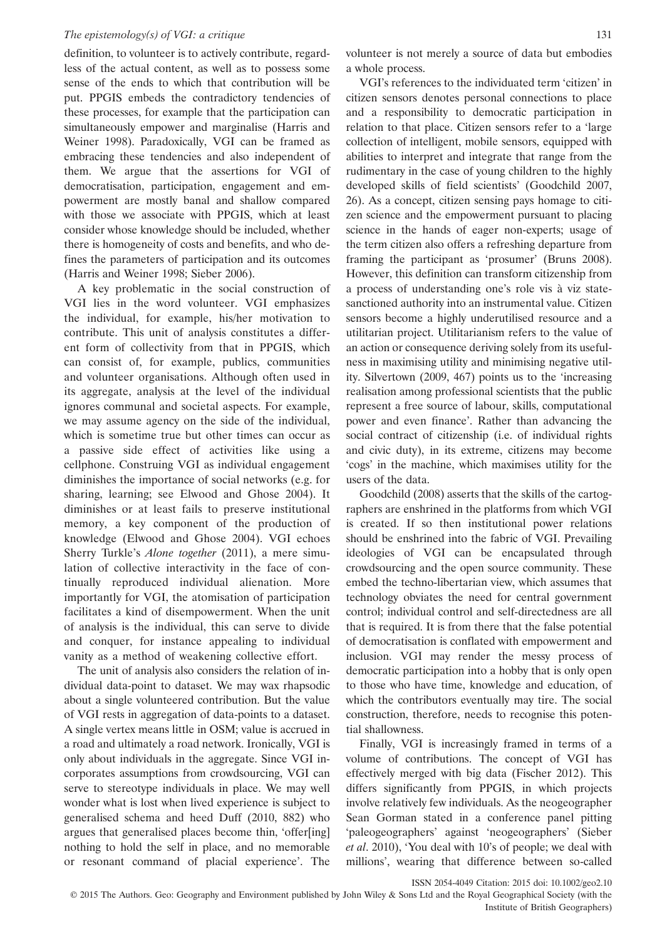definition, to volunteer is to actively contribute, regardless of the actual content, as well as to possess some sense of the ends to which that contribution will be put. PPGIS embeds the contradictory tendencies of these processes, for example that the participation can simultaneously empower and marginalise (Harris and Weiner 1998). Paradoxically, VGI can be framed as embracing these tendencies and also independent of them. We argue that the assertions for VGI of democratisation, participation, engagement and empowerment are mostly banal and shallow compared with those we associate with PPGIS, which at least consider whose knowledge should be included, whether there is homogeneity of costs and benefits, and who defines the parameters of participation and its outcomes (Harris and Weiner 1998; Sieber 2006).

A key problematic in the social construction of VGI lies in the word volunteer. VGI emphasizes the individual, for example, his/her motivation to contribute. This unit of analysis constitutes a different form of collectivity from that in PPGIS, which can consist of, for example, publics, communities and volunteer organisations. Although often used in its aggregate, analysis at the level of the individual ignores communal and societal aspects. For example, we may assume agency on the side of the individual, which is sometime true but other times can occur as a passive side effect of activities like using a cellphone. Construing VGI as individual engagement diminishes the importance of social networks (e.g. for sharing, learning; see Elwood and Ghose 2004). It diminishes or at least fails to preserve institutional memory, a key component of the production of knowledge (Elwood and Ghose 2004). VGI echoes Sherry Turkle's Alone together (2011), a mere simulation of collective interactivity in the face of continually reproduced individual alienation. More importantly for VGI, the atomisation of participation facilitates a kind of disempowerment. When the unit of analysis is the individual, this can serve to divide and conquer, for instance appealing to individual vanity as a method of weakening collective effort.

The unit of analysis also considers the relation of individual data-point to dataset. We may wax rhapsodic about a single volunteered contribution. But the value of VGI rests in aggregation of data-points to a dataset. A single vertex means little in OSM; value is accrued in a road and ultimately a road network. Ironically, VGI is only about individuals in the aggregate. Since VGI incorporates assumptions from crowdsourcing, VGI can serve to stereotype individuals in place. We may well wonder what is lost when lived experience is subject to generalised schema and heed Duff (2010, 882) who argues that generalised places become thin, 'offer[ing] nothing to hold the self in place, and no memorable or resonant command of placial experience'. The volunteer is not merely a source of data but embodies a whole process.

VGI's references to the individuated term 'citizen' in citizen sensors denotes personal connections to place and a responsibility to democratic participation in relation to that place. Citizen sensors refer to a 'large collection of intelligent, mobile sensors, equipped with abilities to interpret and integrate that range from the rudimentary in the case of young children to the highly developed skills of field scientists' (Goodchild 2007, 26). As a concept, citizen sensing pays homage to citizen science and the empowerment pursuant to placing science in the hands of eager non-experts; usage of the term citizen also offers a refreshing departure from framing the participant as 'prosumer' (Bruns 2008). However, this definition can transform citizenship from a process of understanding one's role vis à viz statesanctioned authority into an instrumental value. Citizen sensors become a highly underutilised resource and a utilitarian project. Utilitarianism refers to the value of an action or consequence deriving solely from its usefulness in maximising utility and minimising negative utility. Silvertown (2009, 467) points us to the 'increasing realisation among professional scientists that the public represent a free source of labour, skills, computational power and even finance'. Rather than advancing the social contract of citizenship (i.e. of individual rights and civic duty), in its extreme, citizens may become 'cogs' in the machine, which maximises utility for the users of the data.

Goodchild (2008) asserts that the skills of the cartographers are enshrined in the platforms from which VGI is created. If so then institutional power relations should be enshrined into the fabric of VGI. Prevailing ideologies of VGI can be encapsulated through crowdsourcing and the open source community. These embed the techno-libertarian view, which assumes that technology obviates the need for central government control; individual control and self-directedness are all that is required. It is from there that the false potential of democratisation is conflated with empowerment and inclusion. VGI may render the messy process of democratic participation into a hobby that is only open to those who have time, knowledge and education, of which the contributors eventually may tire. The social construction, therefore, needs to recognise this potential shallowness.

Finally, VGI is increasingly framed in terms of a volume of contributions. The concept of VGI has effectively merged with big data (Fischer 2012). This differs significantly from PPGIS, in which projects involve relatively few individuals. As the neogeographer Sean Gorman stated in a conference panel pitting 'paleogeographers' against 'neogeographers' (Sieber et al. 2010), 'You deal with 10's of people; we deal with millions', wearing that difference between so-called

ISSN 2054-4049 Citation: 2015 doi: 10.1002/geo2.10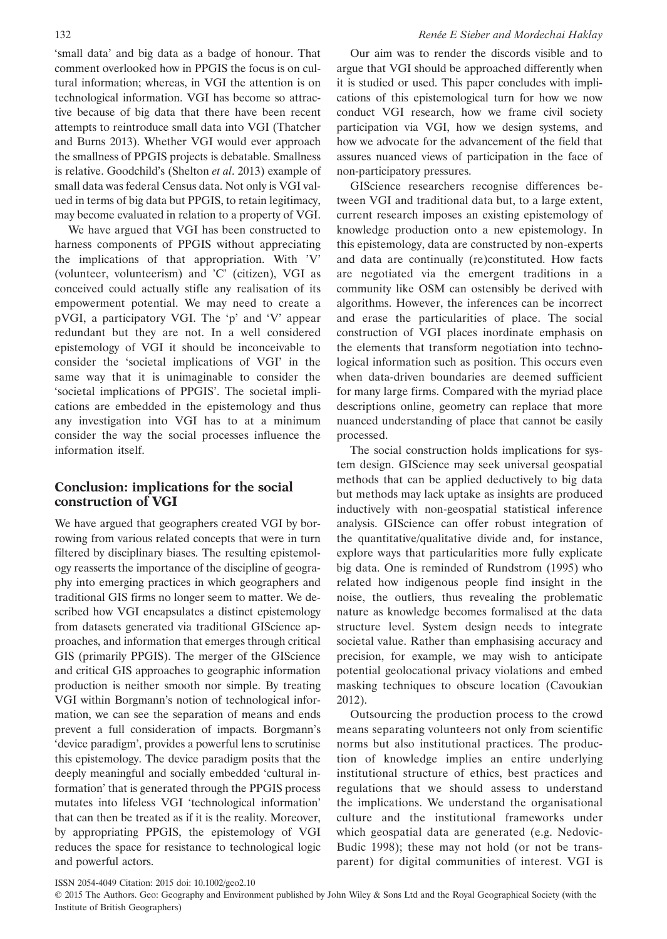'small data' and big data as a badge of honour. That comment overlooked how in PPGIS the focus is on cultural information; whereas, in VGI the attention is on technological information. VGI has become so attractive because of big data that there have been recent attempts to reintroduce small data into VGI (Thatcher and Burns 2013). Whether VGI would ever approach the smallness of PPGIS projects is debatable. Smallness is relative. Goodchild's (Shelton et al. 2013) example of small data was federal Census data. Not only is VGI valued in terms of big data but PPGIS, to retain legitimacy, may become evaluated in relation to a property of VGI.

We have argued that VGI has been constructed to harness components of PPGIS without appreciating the implications of that appropriation. With 'V' (volunteer, volunteerism) and 'C' (citizen), VGI as conceived could actually stifle any realisation of its empowerment potential. We may need to create a pVGI, a participatory VGI. The 'p' and 'V' appear redundant but they are not. In a well considered epistemology of VGI it should be inconceivable to consider the 'societal implications of VGI' in the same way that it is unimaginable to consider the 'societal implications of PPGIS'. The societal implications are embedded in the epistemology and thus any investigation into VGI has to at a minimum consider the way the social processes influence the information itself.

# Conclusion: implications for the social construction of VGI

We have argued that geographers created VGI by borrowing from various related concepts that were in turn filtered by disciplinary biases. The resulting epistemology reasserts the importance of the discipline of geography into emerging practices in which geographers and traditional GIS firms no longer seem to matter. We described how VGI encapsulates a distinct epistemology from datasets generated via traditional GIScience approaches, and information that emerges through critical GIS (primarily PPGIS). The merger of the GIScience and critical GIS approaches to geographic information production is neither smooth nor simple. By treating VGI within Borgmann's notion of technological information, we can see the separation of means and ends prevent a full consideration of impacts. Borgmann's 'device paradigm', provides a powerful lens to scrutinise this epistemology. The device paradigm posits that the deeply meaningful and socially embedded 'cultural information' that is generated through the PPGIS process mutates into lifeless VGI 'technological information' that can then be treated as if it is the reality. Moreover, by appropriating PPGIS, the epistemology of VGI reduces the space for resistance to technological logic and powerful actors.

Our aim was to render the discords visible and to argue that VGI should be approached differently when it is studied or used. This paper concludes with implications of this epistemological turn for how we now conduct VGI research, how we frame civil society participation via VGI, how we design systems, and how we advocate for the advancement of the field that assures nuanced views of participation in the face of non-participatory pressures.

GIScience researchers recognise differences between VGI and traditional data but, to a large extent, current research imposes an existing epistemology of knowledge production onto a new epistemology. In this epistemology, data are constructed by non-experts and data are continually (re)constituted. How facts are negotiated via the emergent traditions in a community like OSM can ostensibly be derived with algorithms. However, the inferences can be incorrect and erase the particularities of place. The social construction of VGI places inordinate emphasis on the elements that transform negotiation into technological information such as position. This occurs even when data-driven boundaries are deemed sufficient for many large firms. Compared with the myriad place descriptions online, geometry can replace that more nuanced understanding of place that cannot be easily processed.

The social construction holds implications for system design. GIScience may seek universal geospatial methods that can be applied deductively to big data but methods may lack uptake as insights are produced inductively with non-geospatial statistical inference analysis. GIScience can offer robust integration of the quantitative/qualitative divide and, for instance, explore ways that particularities more fully explicate big data. One is reminded of Rundstrom (1995) who related how indigenous people find insight in the noise, the outliers, thus revealing the problematic nature as knowledge becomes formalised at the data structure level. System design needs to integrate societal value. Rather than emphasising accuracy and precision, for example, we may wish to anticipate potential geolocational privacy violations and embed masking techniques to obscure location (Cavoukian 2012).

Outsourcing the production process to the crowd means separating volunteers not only from scientific norms but also institutional practices. The production of knowledge implies an entire underlying institutional structure of ethics, best practices and regulations that we should assess to understand the implications. We understand the organisational culture and the institutional frameworks under which geospatial data are generated (e.g. Nedovic-Budic 1998); these may not hold (or not be transparent) for digital communities of interest. VGI is

ISSN 2054-4049 Citation: 2015 doi: 10.1002/geo2.10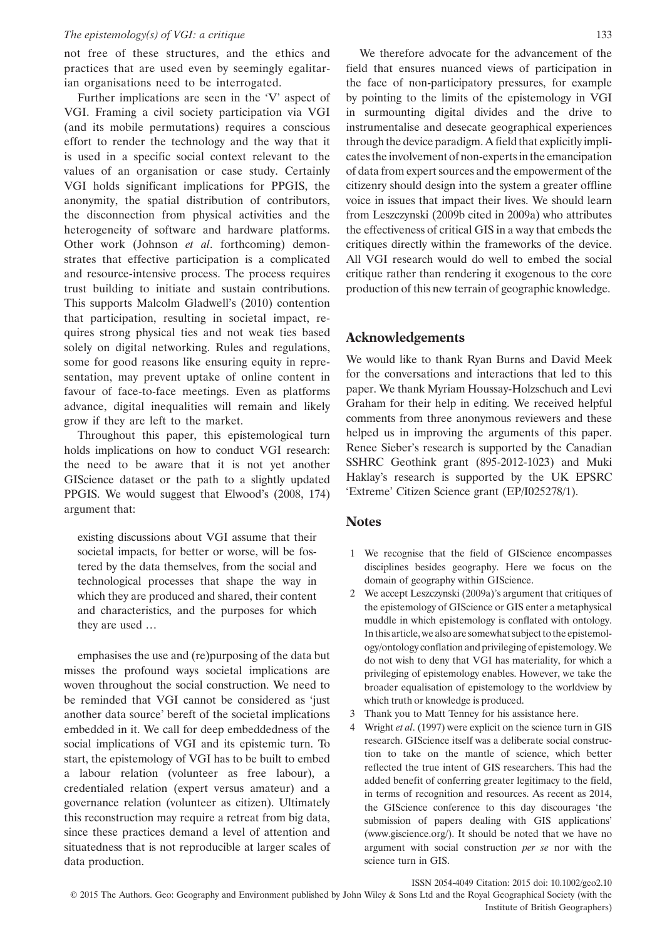not free of these structures, and the ethics and practices that are used even by seemingly egalitarian organisations need to be interrogated.

Further implications are seen in the 'V' aspect of VGI. Framing a civil society participation via VGI (and its mobile permutations) requires a conscious effort to render the technology and the way that it is used in a specific social context relevant to the values of an organisation or case study. Certainly VGI holds significant implications for PPGIS, the anonymity, the spatial distribution of contributors, the disconnection from physical activities and the heterogeneity of software and hardware platforms. Other work (Johnson et al. forthcoming) demonstrates that effective participation is a complicated and resource-intensive process. The process requires trust building to initiate and sustain contributions. This supports Malcolm Gladwell's (2010) contention that participation, resulting in societal impact, requires strong physical ties and not weak ties based solely on digital networking. Rules and regulations, some for good reasons like ensuring equity in representation, may prevent uptake of online content in favour of face-to-face meetings. Even as platforms advance, digital inequalities will remain and likely grow if they are left to the market.

Throughout this paper, this epistemological turn holds implications on how to conduct VGI research: the need to be aware that it is not yet another GIScience dataset or the path to a slightly updated PPGIS. We would suggest that Elwood's (2008, 174) argument that:

existing discussions about VGI assume that their societal impacts, for better or worse, will be fostered by the data themselves, from the social and technological processes that shape the way in which they are produced and shared, their content and characteristics, and the purposes for which they are used …

emphasises the use and (re)purposing of the data but misses the profound ways societal implications are woven throughout the social construction. We need to be reminded that VGI cannot be considered as 'just another data source' bereft of the societal implications embedded in it. We call for deep embeddedness of the social implications of VGI and its epistemic turn. To start, the epistemology of VGI has to be built to embed a labour relation (volunteer as free labour), a credentialed relation (expert versus amateur) and a governance relation (volunteer as citizen). Ultimately this reconstruction may require a retreat from big data, since these practices demand a level of attention and situatedness that is not reproducible at larger scales of data production.

We therefore advocate for the advancement of the field that ensures nuanced views of participation in the face of non-participatory pressures, for example by pointing to the limits of the epistemology in VGI in surmounting digital divides and the drive to instrumentalise and desecate geographical experiences through the device paradigm. A field that explicitly implicates the involvement of non-experts in the emancipation of data from expert sources and the empowerment of the citizenry should design into the system a greater offline voice in issues that impact their lives. We should learn from Leszczynski (2009b cited in 2009a) who attributes the effectiveness of critical GIS in a way that embeds the critiques directly within the frameworks of the device. All VGI research would do well to embed the social critique rather than rendering it exogenous to the core production of this new terrain of geographic knowledge.

# Acknowledgements

We would like to thank Ryan Burns and David Meek for the conversations and interactions that led to this paper. We thank Myriam Houssay-Holzschuch and Levi Graham for their help in editing. We received helpful comments from three anonymous reviewers and these helped us in improving the arguments of this paper. Renee Sieber's research is supported by the Canadian SSHRC Geothink grant (895-2012-1023) and Muki Haklay's research is supported by the UK EPSRC 'Extreme' Citizen Science grant (EP/I025278/1).

## **Notes**

- 1 We recognise that the field of GIScience encompasses disciplines besides geography. Here we focus on the domain of geography within GIScience.
- 2 We accept Leszczynski (2009a)'s argument that critiques of the epistemology of GIScience or GIS enter a metaphysical muddle in which epistemology is conflated with ontology. In this article, we also are somewhat subject to the epistemology/ontology conflation and privileging of epistemology.We do not wish to deny that VGI has materiality, for which a privileging of epistemology enables. However, we take the broader equalisation of epistemology to the worldview by which truth or knowledge is produced.
- 3 Thank you to Matt Tenney for his assistance here.
- Wright et al. (1997) were explicit on the science turn in GIS research. GIScience itself was a deliberate social construction to take on the mantle of science, which better reflected the true intent of GIS researchers. This had the added benefit of conferring greater legitimacy to the field, in terms of recognition and resources. As recent as 2014, the GIScience conference to this day discourages 'the submission of papers dealing with GIS applications' ([www.giscience.org](http://www.giscience.org)/). It should be noted that we have no argument with social construction per se nor with the science turn in GIS.

ISSN 2054-4049 Citation: 2015 doi: 10.1002/geo2.10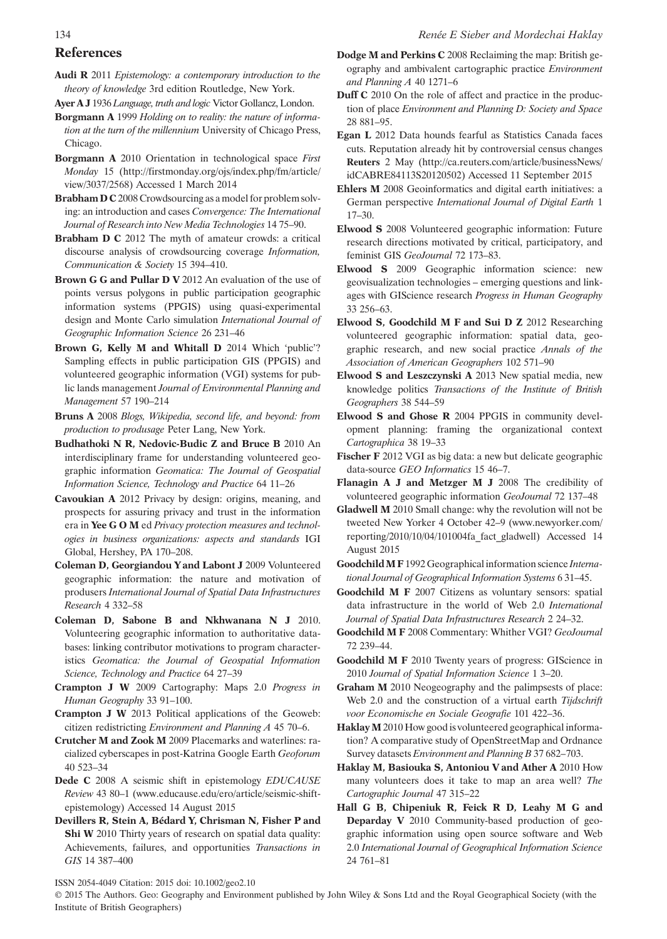# References

- Audi R 2011 Epistemology: a contemporary introduction to the theory of knowledge 3rd edition Routledge, New York.
- Ayer A J 1936 Language, truth and logic Victor Gollancz, London.
- Borgmann A 1999 Holding on to reality: the nature of information at the turn of the millennium University of Chicago Press, Chicago.
- Borgmann A 2010 Orientation in technological space First Monday 15 [\(http://firstmonday.org/ojs/index.php/fm/article/](http://firstmonday.org/ojs/index.php/fm/article/view/3037/2568) [view/3037/2568\)](http://firstmonday.org/ojs/index.php/fm/article/view/3037/2568) Accessed 1 March 2014
- Brabham D C 2008 Crowdsourcing as a model for problem solving: an introduction and cases Convergence: The International Journal of Research into New Media Technologies 14 75–90.
- Brabham D C 2012 The myth of amateur crowds: a critical discourse analysis of crowdsourcing coverage Information, Communication & Society 15 394–410.
- Brown G G and Pullar D V 2012 An evaluation of the use of points versus polygons in public participation geographic information systems (PPGIS) using quasi-experimental design and Monte Carlo simulation International Journal of Geographic Information Science 26 231–46
- Brown G, Kelly M and Whitall D 2014 Which 'public'? Sampling effects in public participation GIS (PPGIS) and volunteered geographic information (VGI) systems for public lands management Journal of Environmental Planning and Management 57 190–214
- Bruns A 2008 Blogs, Wikipedia, second life, and beyond: from production to produsage Peter Lang, New York.
- Budhathoki N R, Nedovic-Budic Z and Bruce B 2010 An interdisciplinary frame for understanding volunteered geographic information Geomatica: The Journal of Geospatial Information Science, Technology and Practice 64 11–26
- Cavoukian A 2012 Privacy by design: origins, meaning, and prospects for assuring privacy and trust in the information era in Yee G O M ed Privacy protection measures and technologies in business organizations: aspects and standards IGI Global, Hershey, PA 170–208.
- Coleman D, Georgiandou Y and Labont J 2009 Volunteered geographic information: the nature and motivation of produsers International Journal of Spatial Data Infrastructures Research 4 332–58
- Coleman D, Sabone B and Nkhwanana N J 2010. Volunteering geographic information to authoritative databases: linking contributor motivations to program characteristics Geomatica: the Journal of Geospatial Information Science, Technology and Practice 64 27–39
- Crampton J W 2009 Cartography: Maps 2.0 Progress in Human Geography 33 91–100.
- Crampton J W 2013 Political applications of the Geoweb: citizen redistricting Environment and Planning A 45 70–6.
- Crutcher M and Zook M 2009 Placemarks and waterlines: racialized cyberscapes in post-Katrina Google Earth Geoforum 40 523–34
- Dede C 2008 A seismic shift in epistemology EDUCAUSE Review 43 80–1 [\(www.educause.edu/ero/article/seismic-shift](http://www.educause.edu/ero/article/seismic-shift-epistemology)[epistemology](http://www.educause.edu/ero/article/seismic-shift-epistemology)) Accessed 14 August 2015
- Devillers R, Stein A, Bédard Y, Chrisman N, Fisher P and Shi W 2010 Thirty years of research on spatial data quality: Achievements, failures, and opportunities Transactions in GIS 14 387–400
- Dodge M and Perkins C 2008 Reclaiming the map: British geography and ambivalent cartographic practice Environment and Planning A 40 1271–6
- Duff C 2010 On the role of affect and practice in the production of place Environment and Planning D: Society and Space 28 881–95.
- Egan L 2012 Data hounds fearful as Statistics Canada faces cuts. Reputation already hit by controversial census changes Reuters 2 May [\(http://ca.reuters.com/article/businessNews/](http://ca.reuters.com/article/businessNews/idCABRE84113S20120502) [idCABRE84113S20120502](http://ca.reuters.com/article/businessNews/idCABRE84113S20120502)) Accessed 11 September 2015
- Ehlers M 2008 Geoinformatics and digital earth initiatives: a German perspective International Journal of Digital Earth 1 17–30.
- Elwood S 2008 Volunteered geographic information: Future research directions motivated by critical, participatory, and feminist GIS GeoJournal 72 173–83.
- Elwood S 2009 Geographic information science: new geovisualization technologies – emerging questions and linkages with GIScience research Progress in Human Geography 33 256–63.
- Elwood S, Goodchild M F and Sui D Z 2012 Researching volunteered geographic information: spatial data, geographic research, and new social practice Annals of the Association of American Geographers 102 571–90
- Elwood S and Leszczynski A 2013 New spatial media, new knowledge politics Transactions of the Institute of British Geographers 38 544–59
- Elwood S and Ghose R 2004 PPGIS in community development planning: framing the organizational context Cartographica 38 19–33
- Fischer F 2012 VGI as big data: a new but delicate geographic data-source GEO Informatics 15 46–7.
- Flanagin A J and Metzger M J 2008 The credibility of volunteered geographic information GeoJournal 72 137–48
- Gladwell M 2010 Small change: why the revolution will not be tweeted New Yorker 4 October 42–9 [\(www.newyorker.com/](http://www.newyorker.com/reporting/2010/10/04/101004fa_fact_gladwell) [reporting/2010/10/04/101004fa\\_fact\\_gladwell](http://www.newyorker.com/reporting/2010/10/04/101004fa_fact_gladwell)) Accessed 14 August 2015
- Goodchild M F 1992 Geographical information science International Journal of Geographical Information Systems 6 31–45.
- Goodchild M F 2007 Citizens as voluntary sensors: spatial data infrastructure in the world of Web 2.0 International Journal of Spatial Data Infrastructures Research 2 24–32.
- Goodchild M F 2008 Commentary: Whither VGI? GeoJournal 72 239–44.
- Goodchild M F 2010 Twenty years of progress: GIScience in 2010 Journal of Spatial Information Science 1 3–20.
- Graham M 2010 Neogeography and the palimpsests of place: Web 2.0 and the construction of a virtual earth Tijdschrift voor Economische en Sociale Geografie 101 422–36.
- Haklay M 2010 How good is volunteered geographical information? A comparative study of OpenStreetMap and Ordnance Survey datasets Environment and Planning B 37 682–703.
- Haklay M, Basiouka S, Antoniou V and Ather A 2010 How many volunteers does it take to map an area well? The Cartographic Journal 47 315–22
- Hall G B, Chipeniuk R, Feick R D, Leahy M G and Deparday V 2010 Community-based production of geographic information using open source software and Web 2.0 International Journal of Geographical Information Science 24 761–81

ISSN 2054-4049 Citation: 2015 doi: 10.1002/geo2.10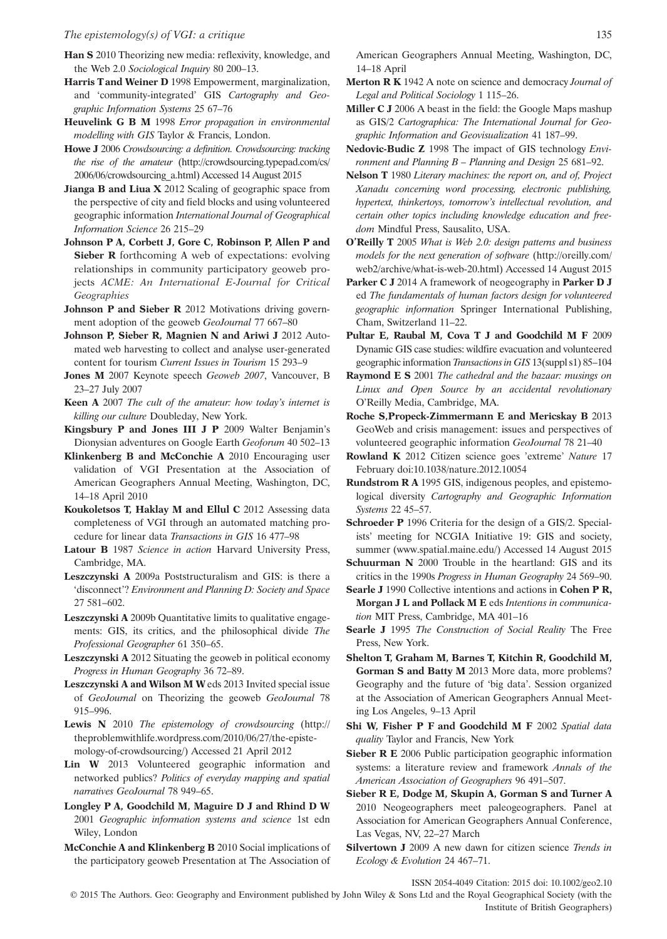- Han S 2010 Theorizing new media: reflexivity, knowledge, and the Web 2.0 Sociological Inquiry 80 200–13.
- Harris T and Weiner D 1998 Empowerment, marginalization, and 'community-integrated' GIS Cartography and Geographic Information Systems 25 67–76
- Heuvelink G B M 1998 Error propagation in environmental modelling with GIS Taylor & Francis, London.
- Howe J 2006 Crowdsourcing: a definition. Crowdsourcing: tracking the rise of the amateur [\(http://crowdsourcing.typepad.com/cs/](http://crowdsourcing.typepad.com/cs/2006/06/crowdsourcing_a.html) [2006/06/crowdsourcing\\_a.html\)](http://crowdsourcing.typepad.com/cs/2006/06/crowdsourcing_a.html) Accessed 14 August 2015
- Jianga B and Liua X 2012 Scaling of geographic space from the perspective of city and field blocks and using volunteered geographic information International Journal of Geographical Information Science 26 215–29
- Johnson P A, Corbett J, Gore C, Robinson P, Allen P and **Sieber R** forthcoming A web of expectations: evolving relationships in community participatory geoweb projects ACME: An International E-Journal for Critical **Geographies**
- Johnson P and Sieber R 2012 Motivations driving government adoption of the geoweb GeoJournal 77 667–80
- Johnson P, Sieber R, Magnien N and Ariwi J 2012 Automated web harvesting to collect and analyse user-generated content for tourism Current Issues in Tourism 15 293–9
- Jones M 2007 Keynote speech Geoweb 2007, Vancouver, B 23–27 July 2007
- Keen A 2007 The cult of the amateur: how today's internet is killing our culture Doubleday, New York.
- Kingsbury P and Jones III J P 2009 Walter Benjamin's Dionysian adventures on Google Earth Geoforum 40 502–13
- Klinkenberg B and McConchie A 2010 Encouraging user validation of VGI Presentation at the Association of American Geographers Annual Meeting, Washington, DC, 14–18 April 2010
- Koukoletsos T, Haklay M and Ellul C 2012 Assessing data completeness of VGI through an automated matching procedure for linear data Transactions in GIS 16 477–98
- Latour B 1987 Science in action Harvard University Press, Cambridge, MA.
- Leszczynski A 2009a Poststructuralism and GIS: is there a 'disconnect'? Environment and Planning D: Society and Space 27 581–602.
- Leszczynski A 2009b Quantitative limits to qualitative engagements: GIS, its critics, and the philosophical divide The Professional Geographer 61 350–65.
- Leszczynski A 2012 Situating the geoweb in political economy Progress in Human Geography 36 72–89.
- Leszczynski A and Wilson M Weds 2013 Invited special issue of GeoJournal on Theorizing the geoweb GeoJournal 78 915–996.
- Lewis N 2010 The epistemology of crowdsourcing ([http://](http://theproblemwithlife.wordpress.com/2010/06/27/the-epistemology-of-crowdsourcing/) [theproblemwithlife.wordpress.com/2010/06/27/the-episte](http://theproblemwithlife.wordpress.com/2010/06/27/the-epistemology-of-crowdsourcing/)[mology-of-crowdsourcing/\)](http://theproblemwithlife.wordpress.com/2010/06/27/the-epistemology-of-crowdsourcing/) Accessed 21 April 2012
- Lin W 2013 Volunteered geographic information and networked publics? Politics of everyday mapping and spatial narratives GeoJournal 78 949–65.
- Longley P A, Goodchild M, Maguire D J and Rhind D W 2001 Geographic information systems and science 1st edn Wiley, London
- McConchie A and Klinkenberg B 2010 Social implications of the participatory geoweb Presentation at The Association of
- Merton R K 1942 A note on science and democracy Journal of Legal and Political Sociology 1 115–26.
- Miller C J 2006 A beast in the field: the Google Maps mashup as GIS/2 Cartographica: The International Journal for Geographic Information and Geovisualization 41 187–99.
- Nedovic-Budic Z 1998 The impact of GIS technology *Envi*ronment and Planning B – Planning and Design 25 681–92.
- Nelson T 1980 Literary machines: the report on, and of, Project Xanadu concerning word processing, electronic publishing, hypertext, thinkertoys, tomorrow's intellectual revolution, and certain other topics including knowledge education and freedom Mindful Press, Sausalito, USA.
- O'Reilly T 2005 What is Web 2.0: design patterns and business models for the next generation of software ([http://oreilly.com/](http://oreilly.com/web2/archive/what-is-web-20.html) [web2/archive/what-is-web-20.html\)](http://oreilly.com/web2/archive/what-is-web-20.html) Accessed 14 August 2015
- Parker C J 2014 A framework of neogeography in Parker D J ed The fundamentals of human factors design for volunteered geographic information Springer International Publishing, Cham, Switzerland 11–22.
- Pultar E, Raubal M, Cova T J and Goodchild M F 2009 Dynamic GIS case studies: wildfire evacuation and volunteered geographic information Transactions in GIS 13(suppl s1) 85–104
- Raymond E S 2001 The cathedral and the bazaar: musings on Linux and Open Source by an accidental revolutionary O'Reilly Media, Cambridge, MA.
- Roche S,Propeck-Zimmermann E and Mericskay B 2013 GeoWeb and crisis management: issues and perspectives of volunteered geographic information GeoJournal 78 21–40
- Rowland K 2012 Citizen science goes 'extreme' Nature 17 February doi:10.1038/nature.2012.10054
- Rundstrom R A 1995 GIS, indigenous peoples, and epistemological diversity Cartography and Geographic Information Systems 22 45–57.
- Schroeder P 1996 Criteria for the design of a GIS/2. Specialists' meeting for NCGIA Initiative 19: GIS and society, summer [\(www.spatial.maine.edu/](http://www.spatial.maine.edu)) Accessed 14 August 2015
- Schuurman N 2000 Trouble in the heartland: GIS and its critics in the 1990s Progress in Human Geography 24 569–90.
- Searle J 1990 Collective intentions and actions in Cohen P R, Morgan J L and Pollack M E eds Intentions in communication MIT Press, Cambridge, MA 401–16
- Searle J 1995 The Construction of Social Reality The Free Press, New York.
- Shelton T, Graham M, Barnes T, Kitchin R, Goodchild M, Gorman S and Batty M 2013 More data, more problems? Geography and the future of 'big data'. Session organized at the Association of American Geographers Annual Meeting Los Angeles, 9–13 April
- Shi W, Fisher P F and Goodchild M F 2002 Spatial data quality Taylor and Francis, New York
- Sieber R E 2006 Public participation geographic information systems: a literature review and framework Annals of the American Association of Geographers 96 491–507.
- Sieber R E, Dodge M, Skupin A, Gorman S and Turner A 2010 Neogeographers meet paleogeographers. Panel at Association for American Geographers Annual Conference, Las Vegas, NV, 22–27 March
- Silvertown J 2009 A new dawn for citizen science Trends in Ecology & Evolution 24 467–71.
	- ISSN 2054-4049 Citation: 2015 doi: 10.1002/geo2.10